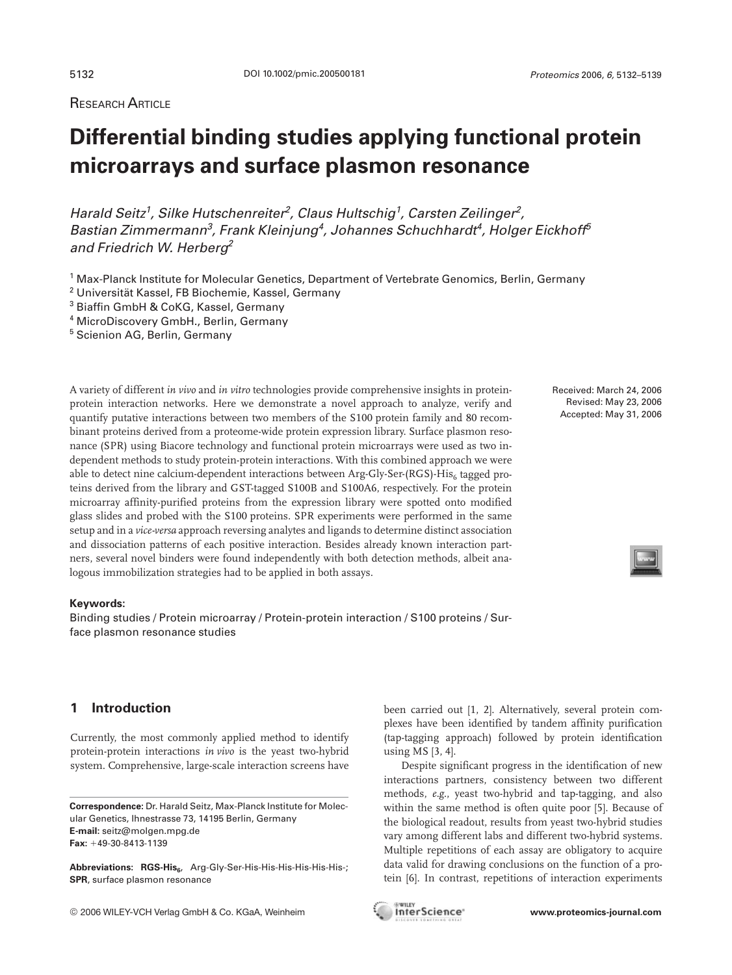# **Differential binding studies applying functional protein microarrays and surface plasmon resonance**

Harald Seitz<sup>1</sup>, Silke Hutschenreiter<sup>2</sup>, Claus Hultschig<sup>1</sup>, Carsten Zeilinger<sup>2</sup>, Bastian Zimmermann<sup>3</sup>, Frank Kleinjung<sup>4</sup>, Johannes Schuchhardt<sup>4</sup>, Holger Eickhoff<sup>5</sup> and Friedrich W. Herberg<sup>2</sup>

- <sup>2</sup> Universität Kassel, FB Biochemie, Kassel, Germany
- <sup>3</sup> Biaffin GmbH & CoKG, Kassel, Germany
- <sup>4</sup> MicroDiscovery GmbH., Berlin, Germany
- <sup>5</sup> Scienion AG, Berlin, Germany

A variety of different *in vivo* and *in vitro* technologies provide comprehensive insights in proteinprotein interaction networks. Here we demonstrate a novel approach to analyze, verify and quantify putative interactions between two members of the S100 protein family and 80 recombinant proteins derived from a proteome-wide protein expression library. Surface plasmon resonance (SPR) using Biacore technology and functional protein microarrays were used as two independent methods to study protein-protein interactions. With this combined approach we were able to detect nine calcium-dependent interactions between  $Arg\text{-}Gly\text{-}Ser\text{-}(RG)$ -His<sub>6</sub> tagged proteins derived from the library and GST-tagged S100B and S100A6, respectively. For the protein microarray affinity-purified proteins from the expression library were spotted onto modified glass slides and probed with the S100 proteins. SPR experiments were performed in the same setup and in a *vice-versa* approach reversing analytes and ligands to determine distinct association and dissociation patterns of each positive interaction. Besides already known interaction partners, several novel binders were found independently with both detection methods, albeit analogous immobilization strategies had to be applied in both assays.

### **Keywords:**

Binding studies / Protein microarray / Protein-protein interaction / S100 proteins / Surface plasmon resonance studies

Received: March 24, 2006 Revised: May 23, 2006 Accepted: May 31, 2006

# **1 Introduction**

Currently, the most commonly applied method to identify protein-protein interactions *in vivo* is the yeast two-hybrid system. Comprehensive, large-scale interaction screens have

Abbreviations: RGS-His<sub>6</sub>, Arg-Gly-Ser-His-His-His-His-His-His-; **SPR**, surface plasmon resonance

been carried out [1, 2]. Alternatively, several protein complexes have been identified by tandem affinity purification (tap-tagging approach) followed by protein identification using MS [3, 4].

Despite significant progress in the identification of new interactions partners, consistency between two different methods, *e.g.*, yeast two-hybrid and tap-tagging, and also within the same method is often quite poor [5]. Because of the biological readout, results from yeast two-hybrid studies vary among different labs and different two-hybrid systems. Multiple repetitions of each assay are obligatory to acquire data valid for drawing conclusions on the function of a protein [6]. In contrast, repetitions of interaction experiments

<sup>1</sup> Max-Planck Institute for Molecular Genetics, Department of Vertebrate Genomics, Berlin, Germany

**Correspondence:** Dr. Harald Seitz, Max-Planck Institute for Molecular Genetics, Ihnestrasse 73, 14195 Berlin, Germany **E-mail:** seitz@molgen.mpg.de Fax: +49-30-8413-1139

<sup>©</sup> 2006 WILEY-VCH Verlag GmbH & Co. KGaA, Weinheim **www.proteomics-journal.com**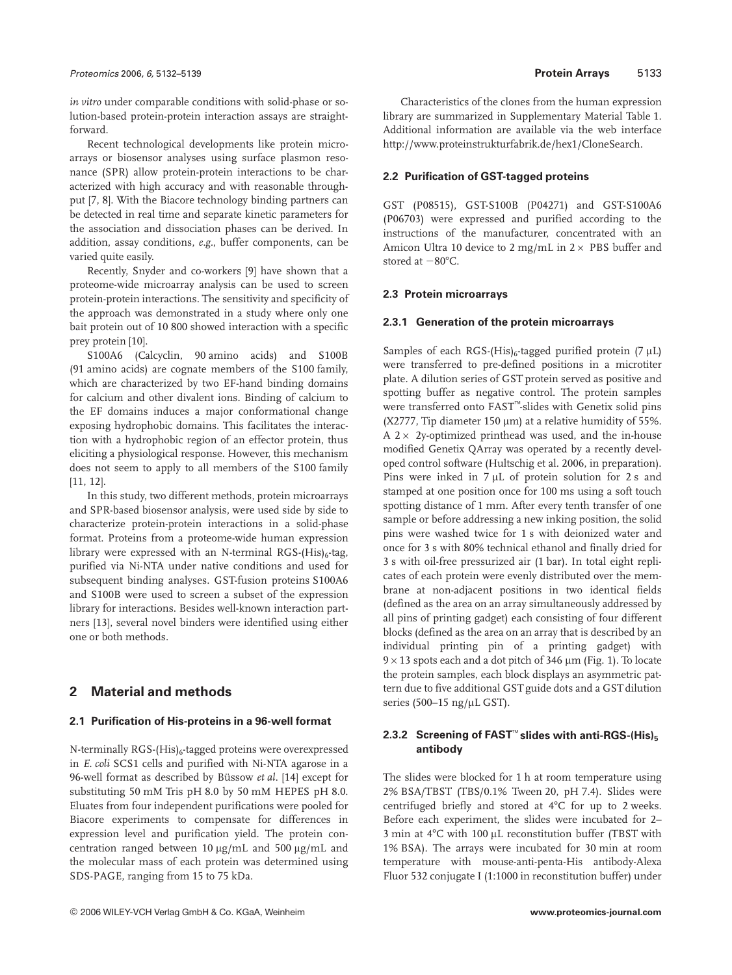*in vitro* under comparable conditions with solid-phase or solution-based protein-protein interaction assays are straightforward.

Recent technological developments like protein microarrays or biosensor analyses using surface plasmon resonance (SPR) allow protein-protein interactions to be characterized with high accuracy and with reasonable throughput [7, 8]. With the Biacore technology binding partners can be detected in real time and separate kinetic parameters for the association and dissociation phases can be derived. In addition, assay conditions, *e.g.*, buffer components, can be varied quite easily.

Recently, Snyder and co-workers [9] have shown that a proteome-wide microarray analysis can be used to screen protein-protein interactions. The sensitivity and specificity of the approach was demonstrated in a study where only one bait protein out of 10 800 showed interaction with a specific prey protein [10].

S100A6 (Calcyclin, 90 amino acids) and S100B (91 amino acids) are cognate members of the S100 family, which are characterized by two EF-hand binding domains for calcium and other divalent ions. Binding of calcium to the EF domains induces a major conformational change exposing hydrophobic domains. This facilitates the interaction with a hydrophobic region of an effector protein, thus eliciting a physiological response. However, this mechanism does not seem to apply to all members of the S100 family [11, 12].

In this study, two different methods, protein microarrays and SPR-based biosensor analysis, were used side by side to characterize protein-protein interactions in a solid-phase format. Proteins from a proteome-wide human expression library were expressed with an N-terminal RGS-(His) $<sub>6</sub>$ -tag,</sub> purified via Ni-NTA under native conditions and used for subsequent binding analyses. GST-fusion proteins S100A6 and S100B were used to screen a subset of the expression library for interactions. Besides well-known interaction partners [13], several novel binders were identified using either one or both methods.

# **2 Material and methods**

# **2.1 Purification of His-proteins in a 96-well format**

N-terminally  $RGS-(His)_{6}$ -tagged proteins were overexpressed in *E. coli* SCS1 cells and purified with Ni-NTA agarose in a 96-well format as described by Büssow *et al.* [14] except for substituting 50 mM Tris pH 8.0 by 50 mM HEPES pH 8.0. Eluates from four independent purifications were pooled for Biacore experiments to compensate for differences in expression level and purification yield. The protein concentration ranged between 10  $\mu$ g/mL and 500  $\mu$ g/mL and the molecular mass of each protein was determined using SDS-PAGE, ranging from 15 to 75 kDa.

Characteristics of the clones from the human expression library are summarized in Supplementary Material Table 1. Additional information are available via the web interface http://www.proteinstrukturfabrik.de/hex1/CloneSearch.

# **2.2 Purification of GST-tagged proteins**

GST (P08515), GST-S100B (P04271) and GST-S100A6 (P06703) were expressed and purified according to the instructions of the manufacturer, concentrated with an Amicon Ultra 10 device to 2 mg/mL in  $2 \times$  PBS buffer and stored at  $-80^{\circ}$ C.

## **2.3 Protein microarrays**

### **2.3.1 Generation of the protein microarrays**

Samples of each RGS-(His)<sub>6</sub>-tagged purified protein (7  $\mu$ L) were transferred to pre-defined positions in a microtiter plate. A dilution series of GST protein served as positive and spotting buffer as negative control. The protein samples were transferred onto FAST™-slides with Genetix solid pins (X2777, Tip diameter 150  $\mu$ m) at a relative humidity of 55%. A  $2 \times 2y$ -optimized printhead was used, and the in-house modified Genetix QArray was operated by a recently developed control software (Hultschig et al. 2006, in preparation). Pins were inked in  $7 \mu$ L of protein solution for 2 s and stamped at one position once for 100 ms using a soft touch spotting distance of 1 mm. After every tenth transfer of one sample or before addressing a new inking position, the solid pins were washed twice for 1 s with deionized water and once for 3 s with 80% technical ethanol and finally dried for 3 s with oil-free pressurized air (1 bar). In total eight replicates of each protein were evenly distributed over the membrane at non-adjacent positions in two identical fields (defined as the area on an array simultaneously addressed by all pins of printing gadget) each consisting of four different blocks (defined as the area on an array that is described by an individual printing pin of a printing gadget) with  $9 \times 13$  spots each and a dot pitch of 346 µm (Fig. 1). To locate the protein samples, each block displays an asymmetric pattern due to five additional GST guide dots and a GST dilution series (500-15 ng/ $\mu$ L GST).

# **2.3.2 Screening of FAST<sup>™</sup> slides with anti-RGS-(His)<sub>5</sub> antibody**

The slides were blocked for 1 h at room temperature using 2% BSA/TBST (TBS/0.1% Tween 20, pH 7.4). Slides were centrifuged briefly and stored at  $4^{\circ}$ C for up to 2 weeks. Before each experiment, the slides were incubated for 2– 3 min at  $4^{\circ}$ C with 100 µL reconstitution buffer (TBST with 1% BSA). The arrays were incubated for 30 min at room temperature with mouse-anti-penta-His antibody-Alexa Fluor 532 conjugate I (1:1000 in reconstitution buffer) under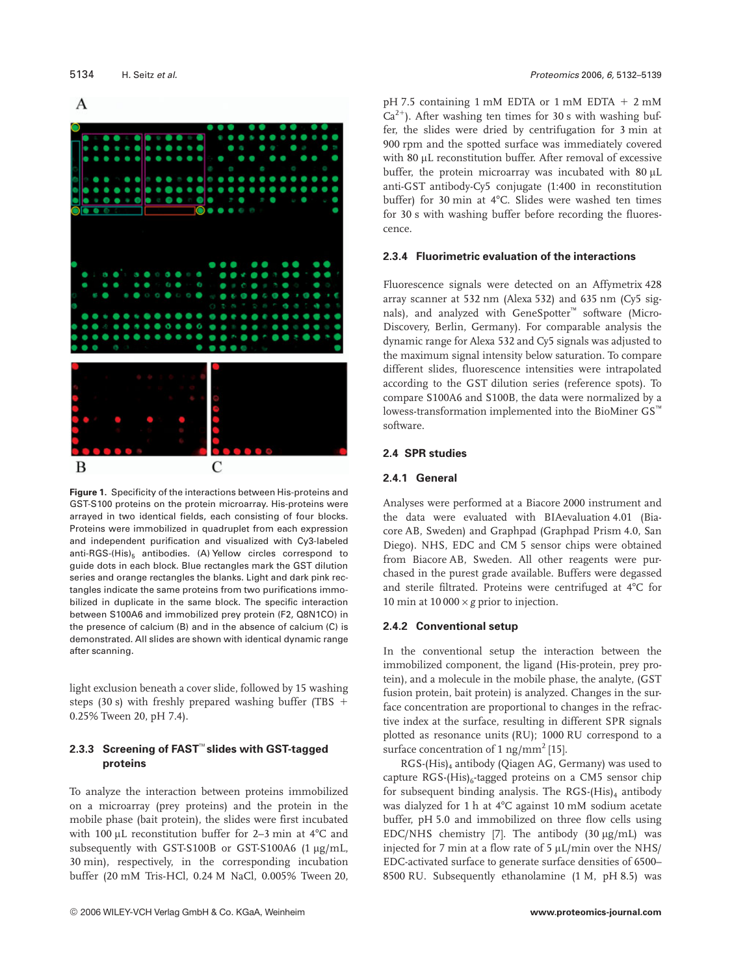

**Figure 1.** Specificity of the interactions between His-proteins and GST-S100 proteins on the protein microarray. His-proteins were arrayed in two identical fields, each consisting of four blocks. Proteins were immobilized in quadruplet from each expression and independent purification and visualized with Cy3-labeled anti-RGS-(His) $_5$  antibodies. (A) Yellow circles correspond to guide dots in each block. Blue rectangles mark the GST dilution series and orange rectangles the blanks. Light and dark pink rectangles indicate the same proteins from two purifications immobilized in duplicate in the same block. The specific interaction between S100A6 and immobilized prey protein (F2, Q8N1CO) in the presence of calcium (B) and in the absence of calcium (C) is demonstrated. All slides are shown with identical dynamic range after scanning.

light exclusion beneath a cover slide, followed by 15 washing steps (30 s) with freshly prepared washing buffer (TBS  $+$ 0.25% Tween 20, pH 7.4).

# **2.3.3 Screening of FAST**™ **slides with GST-tagged proteins**

To analyze the interaction between proteins immobilized on a microarray (prey proteins) and the protein in the mobile phase (bait protein), the slides were first incubated with 100  $\mu$ L reconstitution buffer for 2–3 min at 4°C and subsequently with GST-S100B or GST-S100A6  $(1 \mu g/mL)$ , 30 min), respectively, in the corresponding incubation buffer (20 mM Tris-HCl, 0.24 M NaCl, 0.005% Tween 20, pH 7.5 containing 1 mM EDTA or 1 mM EDTA  $+ 2$  mM  $Ca^{2+}$ ). After washing ten times for 30 s with washing buffer, the slides were dried by centrifugation for 3 min at 900 rpm and the spotted surface was immediately covered with 80 µL reconstitution buffer. After removal of excessive buffer, the protein microarray was incubated with 80 µL anti-GST antibody-Cy5 conjugate (1:400 in reconstitution buffer) for 30 min at 4°C. Slides were washed ten times for 30 s with washing buffer before recording the fluorescence.

# **2.3.4 Fluorimetric evaluation of the interactions**

Fluorescence signals were detected on an Affymetrix 428 array scanner at 532 nm (Alexa 532) and 635 nm (Cy5 signals), and analyzed with GeneSpotter<sup>™</sup> software (Micro-Discovery, Berlin, Germany). For comparable analysis the dynamic range for Alexa 532 and Cy5 signals was adjusted to the maximum signal intensity below saturation. To compare different slides, fluorescence intensities were intrapolated according to the GST dilution series (reference spots). To compare S100A6 and S100B, the data were normalized by a lowess-transformation implemented into the BioMiner GS™ software.

# **2.4 SPR studies**

# **2.4.1 General**

Analyses were performed at a Biacore 2000 instrument and the data were evaluated with BIAevaluation 4.01 (Biacore AB, Sweden) and Graphpad (Graphpad Prism 4.0, San Diego). NHS, EDC and CM 5 sensor chips were obtained from Biacore AB, Sweden. All other reagents were purchased in the purest grade available. Buffers were degassed and sterile filtrated. Proteins were centrifuged at 4°C for 10 min at  $10\,000 \times g$  prior to injection.

## **2.4.2 Conventional setup**

In the conventional setup the interaction between the immobilized component, the ligand (His-protein, prey protein), and a molecule in the mobile phase, the analyte, (GST fusion protein, bait protein) is analyzed. Changes in the surface concentration are proportional to changes in the refractive index at the surface, resulting in different SPR signals plotted as resonance units (RU); 1000 RU correspond to a surface concentration of 1 ng/mm<sup>2</sup> [15].

 $RGS$ -(His)<sub>4</sub> antibody (Qiagen AG, Germany) was used to capture  $RGS-(His)_{6}$ -tagged proteins on a CM5 sensor chip for subsequent binding analysis. The RGS- $(His)_4$  antibody was dialyzed for 1 h at 4°C against 10 mM sodium acetate buffer, pH 5.0 and immobilized on three flow cells using EDC/NHS chemistry [7]. The antibody  $(30 \mu g/mL)$  was injected for 7 min at a flow rate of 5  $\mu$ L/min over the NHS/ EDC-activated surface to generate surface densities of 6500– 8500 RU. Subsequently ethanolamine (1 M, pH 8.5) was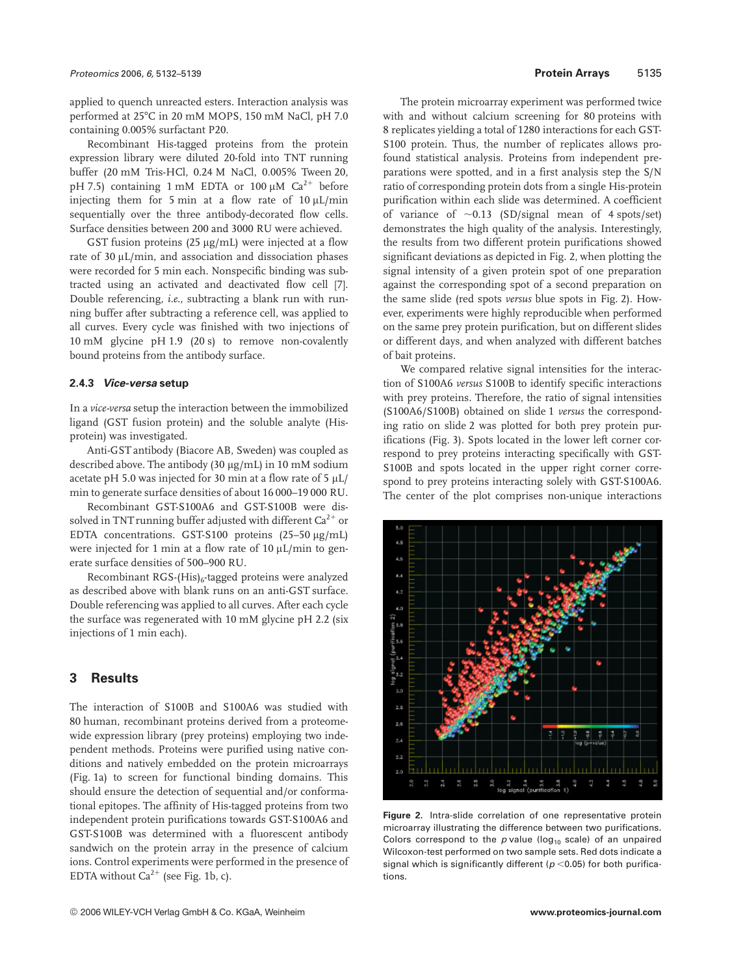applied to quench unreacted esters. Interaction analysis was performed at 25°C in 20 mM MOPS, 150 mM NaCl, pH 7.0 containing 0.005% surfactant P20.

Recombinant His-tagged proteins from the protein expression library were diluted 20-fold into TNT running buffer (20 mM Tris-HCl, 0.24 M NaCl, 0.005% Tween 20, pH 7.5) containing 1 mM EDTA or 100  $\mu$ M Ca<sup>2+</sup> before injecting them for 5 min at a flow rate of  $10 \mu L/min$ sequentially over the three antibody-decorated flow cells. Surface densities between 200 and 3000 RU were achieved.

GST fusion proteins  $(25 \mu g/mL)$  were injected at a flow rate of  $30 \mu L/min$ , and association and dissociation phases were recorded for 5 min each. Nonspecific binding was subtracted using an activated and deactivated flow cell [7]. Double referencing, *i.e.*, subtracting a blank run with running buffer after subtracting a reference cell, was applied to all curves. Every cycle was finished with two injections of 10 mM glycine pH 1.9 (20 s) to remove non-covalently bound proteins from the antibody surface.

### **2.4.3** *Vice-versa* **setup**

In a *vice-versa* setup the interaction between the immobilized ligand (GST fusion protein) and the soluble analyte (Hisprotein) was investigated.

Anti-GST antibody (Biacore AB, Sweden) was coupled as described above. The antibody (30  $\mu$ g/mL) in 10 mM sodium acetate pH 5.0 was injected for 30 min at a flow rate of 5  $\mu$ L/ min to generate surface densities of about 16 000–19 000 RU.

Recombinant GST-S100A6 and GST-S100B were dissolved in TNT running buffer adjusted with different  $\mathrm{Ca}^{2+}$  or EDTA concentrations. GST-S100 proteins (25-50 µg/mL) were injected for 1 min at a flow rate of 10  $\mu$ L/min to generate surface densities of 500–900 RU.

Recombinant RGS- $(His)_{6}$ -tagged proteins were analyzed as described above with blank runs on an anti-GST surface. Double referencing was applied to all curves. After each cycle the surface was regenerated with 10 mM glycine pH 2.2 (six injections of 1 min each).

# **3 Results**

The interaction of S100B and S100A6 was studied with 80 human, recombinant proteins derived from a proteomewide expression library (prey proteins) employing two independent methods. Proteins were purified using native conditions and natively embedded on the protein microarrays (Fig. 1a) to screen for functional binding domains. This should ensure the detection of sequential and/or conformational epitopes. The affinity of His-tagged proteins from two independent protein purifications towards GST-S100A6 and GST-S100B was determined with a fluorescent antibody sandwich on the protein array in the presence of calcium ions. Control experiments were performed in the presence of EDTA without  $Ca^{2+}$  (see Fig. 1b, c).

The protein microarray experiment was performed twice with and without calcium screening for 80 proteins with 8 replicates yielding a total of 1280 interactions for each GST-S100 protein. Thus, the number of replicates allows profound statistical analysis. Proteins from independent preparations were spotted, and in a first analysis step the S/N ratio of corresponding protein dots from a single His-protein purification within each slide was determined. A coefficient of variance of  $\sim 0.13$  (SD/signal mean of 4 spots/set) demonstrates the high quality of the analysis. Interestingly, the results from two different protein purifications showed significant deviations as depicted in Fig. 2, when plotting the signal intensity of a given protein spot of one preparation against the corresponding spot of a second preparation on the same slide (red spots *versus* blue spots in Fig. 2). However, experiments were highly reproducible when performed on the same prey protein purification, but on different slides or different days, and when analyzed with different batches of bait proteins.

We compared relative signal intensities for the interaction of S100A6 *versus* S100B to identify specific interactions with prey proteins. Therefore, the ratio of signal intensities (S100A6/S100B) obtained on slide 1 *versus* the corresponding ratio on slide 2 was plotted for both prey protein purifications (Fig. 3). Spots located in the lower left corner correspond to prey proteins interacting specifically with GST-S100B and spots located in the upper right corner correspond to prey proteins interacting solely with GST-S100A6. The center of the plot comprises non-unique interactions



**Figure 2.** Intra-slide correlation of one representative protein microarray illustrating the difference between two purifications. Colors correspond to the  $p$  value (log<sub>10</sub> scale) of an unpaired Wilcoxon-test performed on two sample sets. Red dots indicate a signal which is significantly different ( $p$  <0.05) for both purifications.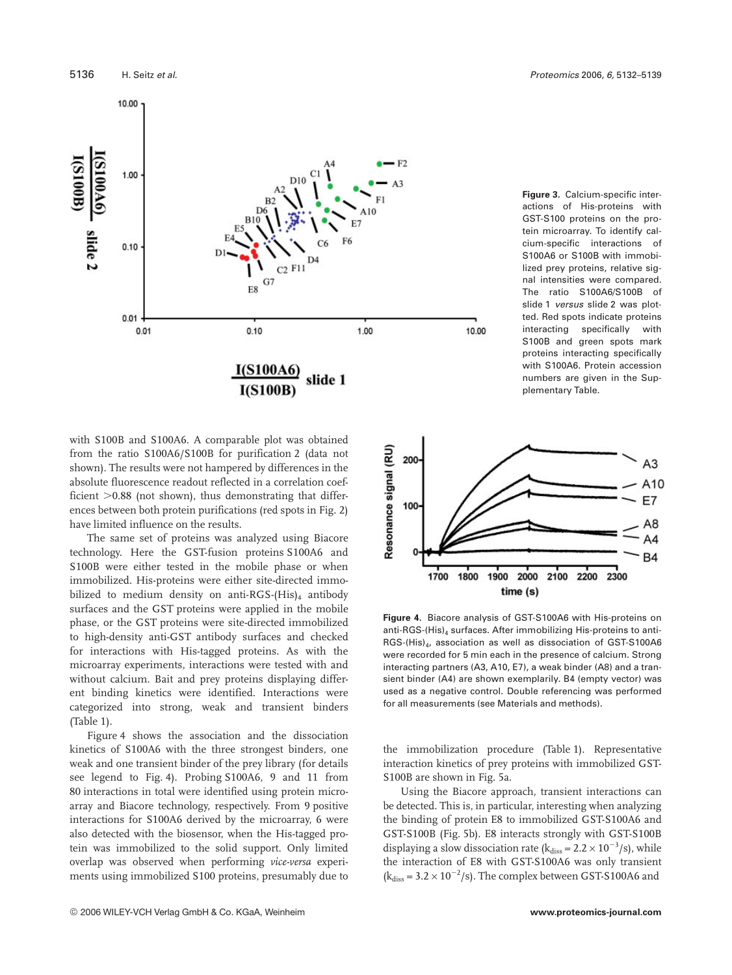

**Figure 3.** Calcium-specific interactions of His-proteins with GST-S100 proteins on the protein microarray. To identify calcium-specific interactions of S100A6 or S100B with immobilized prey proteins, relative signal intensities were compared. The ratio S100A6/S100B of slide 1 versus slide 2 was plotted. Red spots indicate proteins interacting specifically with S100B and green spots mark proteins interacting specifically with S100A6. Protein accession numbers are given in the Supplementary Table.

with S100B and S100A6. A comparable plot was obtained from the ratio S100A6/S100B for purification 2 (data not shown). The results were not hampered by differences in the absolute fluorescence readout reflected in a correlation coefficient  $>0.88$  (not shown), thus demonstrating that differences between both protein purifications (red spots in Fig. 2) have limited influence on the results.

The same set of proteins was analyzed using Biacore technology. Here the GST-fusion proteins S100A6 and S100B were either tested in the mobile phase or when immobilized. His-proteins were either site-directed immobilized to medium density on anti-RGS-(His)<sub>4</sub> antibody surfaces and the GST proteins were applied in the mobile phase, or the GST proteins were site-directed immobilized to high-density anti-GST antibody surfaces and checked for interactions with His-tagged proteins. As with the microarray experiments, interactions were tested with and without calcium. Bait and prey proteins displaying different binding kinetics were identified. Interactions were categorized into strong, weak and transient binders (Table 1).

Figure 4 shows the association and the dissociation kinetics of S100A6 with the three strongest binders, one weak and one transient binder of the prey library (for details see legend to Fig. 4). Probing S100A6, 9 and 11 from 80 interactions in total were identified using protein microarray and Biacore technology, respectively. From 9 positive interactions for S100A6 derived by the microarray, 6 were also detected with the biosensor, when the His-tagged protein was immobilized to the solid support. Only limited overlap was observed when performing *vice-versa* experiments using immobilized S100 proteins, presumably due to



**Figure 4.** Biacore analysis of GST-S100A6 with His-proteins on anti-RGS-(His) $_4$  surfaces. After immobilizing His-proteins to anti-RGS-(His)<sub>4</sub>, association as well as dissociation of GST-S100A6 were recorded for 5 min each in the presence of calcium. Strong interacting partners (A3, A10, E7), a weak binder (A8) and a transient binder (A4) are shown exemplarily. B4 (empty vector) was used as a negative control. Double referencing was performed for all measurements (see Materials and methods).

the immobilization procedure (Table 1). Representative interaction kinetics of prey proteins with immobilized GST-S100B are shown in Fig. 5a.

Using the Biacore approach, transient interactions can be detected. This is, in particular, interesting when analyzing the binding of protein E8 to immobilized GST-S100A6 and GST-S100B (Fig. 5b). E8 interacts strongly with GST-S100B displaying a slow dissociation rate ( $k_{diss} = 2.2 \times 10^{-3} / s$ ), while the interaction of E8 with GST-S100A6 was only transient  $(k<sub>diss</sub> = 3.2 \times 10^{-2} / s)$ . The complex between GST-S100A6 and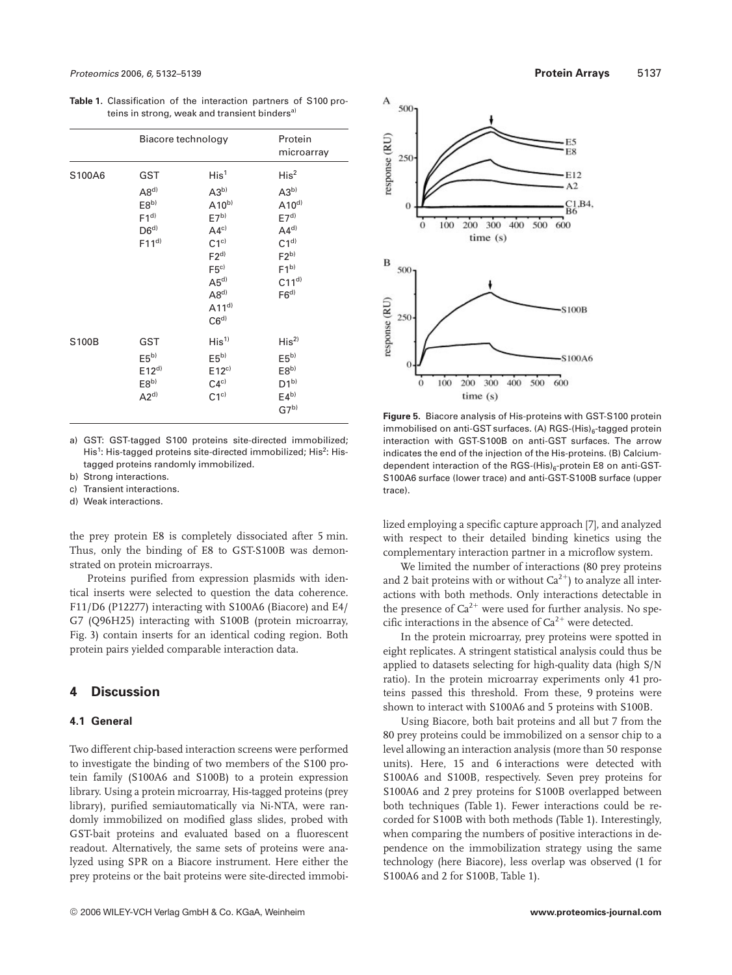**Table 1.** Classification of the interaction partners of S100 proteins in strong, weak and transient binders<sup>a)</sup>

|        | Biacore technology                                                                                    |                                                                                                                                                                                                | Protein<br>microarray                                                                                                                                |
|--------|-------------------------------------------------------------------------------------------------------|------------------------------------------------------------------------------------------------------------------------------------------------------------------------------------------------|------------------------------------------------------------------------------------------------------------------------------------------------------|
| S100A6 | GST<br>$\mathsf{A}8^\mathsf{d}$<br>E8 <sub>p</sub><br>$F1^{d}$<br>D6 <sup>d</sup><br>F11 <sup>d</sup> | His <sup>1</sup><br>$A3^{b}$<br>$A10^{b}$<br>E7 <sup>b</sup><br>AA <sup>c</sup><br>$C1^{c}$<br>F2 <sup>d</sup><br>F5c)<br>$A5^{d}$<br>$\mathsf{A}8^{d}$<br>A11 <sup>d</sup><br>C6 <sup>d</sup> | His <sup>2</sup><br>$A3^{b}$<br>$A10^{d}$<br>E7 <sup>d</sup><br>AA <sup>d</sup><br>C1 <sup>d</sup><br>$F2^{b}$<br>$F1^{b}$<br>$C11^{d}$<br>$F6^{d)}$ |
| S100B  | <b>GST</b><br>E5 <sup>b</sup><br>E12 <sup>d</sup><br>E8 <sub>p</sub><br>$A2^{d)}$                     | His <sup>1</sup><br>E5 <sup>b</sup><br>$E12^{c}$<br>$C4^{c}$<br>$C1^{c}$                                                                                                                       | His <sup>2</sup><br>E5 <sup>b)</sup><br>E8 <sub>p</sub><br>$D1^{b}$<br>$E4^{b}$<br>$G7^{b}$                                                          |

a) GST: GST-tagged S100 proteins site-directed immobilized; His<sup>1</sup>: His-tagged proteins site-directed immobilized; His<sup>2</sup>: Histagged proteins randomly immobilized.

- b) Strong interactions.
- c) Transient interactions.
- d) Weak interactions.

the prey protein E8 is completely dissociated after 5 min. Thus, only the binding of E8 to GST-S100B was demonstrated on protein microarrays.

Proteins purified from expression plasmids with identical inserts were selected to question the data coherence. F11/D6 (P12277) interacting with S100A6 (Biacore) and E4/ G7 (Q96H25) interacting with S100B (protein microarray, Fig. 3) contain inserts for an identical coding region. Both protein pairs yielded comparable interaction data.

# **4 Discussion**

# **4.1 General**

Two different chip-based interaction screens were performed to investigate the binding of two members of the S100 protein family (S100A6 and S100B) to a protein expression library. Using a protein microarray, His-tagged proteins (prey library), purified semiautomatically via Ni-NTA, were randomly immobilized on modified glass slides, probed with GST-bait proteins and evaluated based on a fluorescent readout. Alternatively, the same sets of proteins were analyzed using SPR on a Biacore instrument. Here either the prey proteins or the bait proteins were site-directed immobi-



**Figure 5.** Biacore analysis of His-proteins with GST-S100 protein immobilised on anti-GST surfaces. (A) RGS- $(His)_{6}$ -tagged protein interaction with GST-S100B on anti-GST surfaces. The arrow indicates the end of the injection of the His-proteins. (B) Calciumdependent interaction of the RGS- $(His)_{6}$ -protein E8 on anti-GST-S100A6 surface (lower trace) and anti-GST-S100B surface (upper trace).

lized employing a specific capture approach [7], and analyzed with respect to their detailed binding kinetics using the complementary interaction partner in a microflow system.

We limited the number of interactions (80 prey proteins and 2 bait proteins with or without  $Ca^{2+}$ ) to analyze all interactions with both methods. Only interactions detectable in the presence of  $Ca^{2+}$  were used for further analysis. No specific interactions in the absence of  $Ca^{2+}$  were detected.

In the protein microarray, prey proteins were spotted in eight replicates. A stringent statistical analysis could thus be applied to datasets selecting for high-quality data (high S/N ratio). In the protein microarray experiments only 41 proteins passed this threshold. From these, 9 proteins were shown to interact with S100A6 and 5 proteins with S100B.

Using Biacore, both bait proteins and all but 7 from the 80 prey proteins could be immobilized on a sensor chip to a level allowing an interaction analysis (more than 50 response units). Here, 15 and 6 interactions were detected with S100A6 and S100B, respectively. Seven prey proteins for S100A6 and 2 prey proteins for S100B overlapped between both techniques (Table 1). Fewer interactions could be recorded for S100B with both methods (Table 1). Interestingly, when comparing the numbers of positive interactions in dependence on the immobilization strategy using the same technology (here Biacore), less overlap was observed (1 for S100A6 and 2 for S100B, Table 1).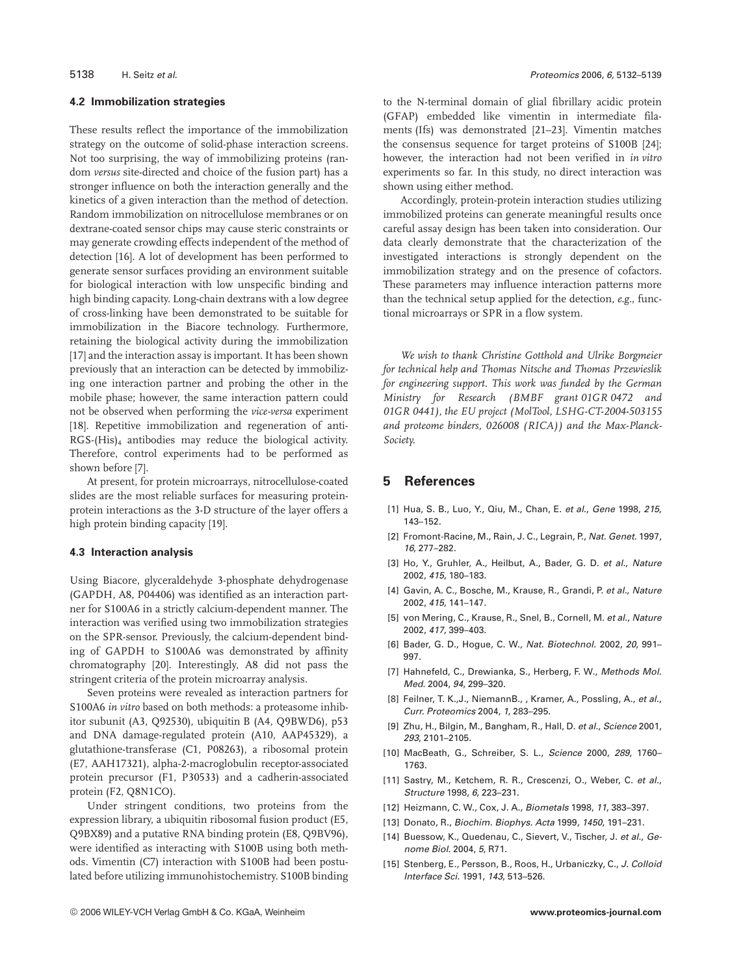## **4.2 Immobilization strategies**

These results reflect the importance of the immobilization strategy on the outcome of solid-phase interaction screens. Not too surprising, the way of immobilizing proteins (random *versus* site-directed and choice of the fusion part) has a stronger influence on both the interaction generally and the kinetics of a given interaction than the method of detection. Random immobilization on nitrocellulose membranes or on dextrane-coated sensor chips may cause steric constraints or may generate crowding effects independent of the method of detection [16]. A lot of development has been performed to generate sensor surfaces providing an environment suitable for biological interaction with low unspecific binding and high binding capacity. Long-chain dextrans with a low degree of cross-linking have been demonstrated to be suitable for immobilization in the Biacore technology. Furthermore, retaining the biological activity during the immobilization [17] and the interaction assay is important. It has been shown previously that an interaction can be detected by immobilizing one interaction partner and probing the other in the mobile phase; however, the same interaction pattern could not be observed when performing the *vice-versa* experiment [18]. Repetitive immobilization and regeneration of anti-RGS-(His)4 antibodies may reduce the biological activity. Therefore, control experiments had to be performed as shown before [7].

At present, for protein microarrays, nitrocellulose-coated slides are the most reliable surfaces for measuring proteinprotein interactions as the 3-D structure of the layer offers a high protein binding capacity [19].

## **4.3 Interaction analysis**

Using Biacore, glyceraldehyde 3-phosphate dehydrogenase (GAPDH, A8, P04406) was identified as an interaction partner for S100A6 in a strictly calcium-dependent manner. The interaction was verified using two immobilization strategies on the SPR-sensor. Previously, the calcium-dependent binding of GAPDH to S100A6 was demonstrated by affinity chromatography [20]. Interestingly, A8 did not pass the stringent criteria of the protein microarray analysis.

Seven proteins were revealed as interaction partners for S100A6 *in vitro* based on both methods: a proteasome inhibitor subunit (A3, Q92530), ubiquitin B (A4, Q9BWD6), p53 and DNA damage-regulated protein (A10, AAP45329), a glutathione-transferase (C1, P08263), a ribosomal protein (E7, AAH17321), alpha-2-macroglobulin receptor-associated protein precursor (F1, P30533) and a cadherin-associated protein (F2, Q8N1CO).

Under stringent conditions, two proteins from the expression library, a ubiquitin ribosomal fusion product (E5, Q9BX89) and a putative RNA binding protein (E8, Q9BV96), were identified as interacting with S100B using both methods. Vimentin (C7) interaction with S100B had been postulated before utilizing immunohistochemistry. S100B binding to the N-terminal domain of glial fibrillary acidic protein (GFAP) embedded like vimentin in intermediate filaments (Ifs) was demonstrated [21–23]. Vimentin matches the consensus sequence for target proteins of S100B [24]; however, the interaction had not been verified in *in vitro* experiments so far. In this study, no direct interaction was shown using either method.

Accordingly, protein-protein interaction studies utilizing immobilized proteins can generate meaningful results once careful assay design has been taken into consideration. Our data clearly demonstrate that the characterization of the investigated interactions is strongly dependent on the immobilization strategy and on the presence of cofactors. These parameters may influence interaction patterns more than the technical setup applied for the detection, *e.g.*, functional microarrays or SPR in a flow system.

*We wish to thank Christine Gotthold and Ulrike Borgmeier for technical help and Thomas Nitsche and Thomas Przewieslik for engineering support. This work was funded by the German Ministry for Research (BMBF grant 01GR 0472 and 01GR 0441), the EU project (MolTool, LSHG-CT-2004-503155 and proteome binders, 026008 (RICA)) and the Max-Planck-Society.*

# **5 References**

- [1] Hua, S. B., Luo, Y., Qiu, M., Chan, E. et al., Gene 1998, 215, 143–152.
- [2] Fromont-Racine, M., Rain, J. C., Legrain, P., Nat. Genet. 1997, 16, 277–282.
- [3] Ho, Y., Gruhler, A., Heilbut, A., Bader, G. D. et al., Nature 2002, 415, 180–183.
- [4] Gavin, A. C., Bosche, M., Krause, R., Grandi, P. et al., Nature 2002, 415, 141–147.
- [5] von Mering, C., Krause, R., Snel, B., Cornell, M. et al., Nature 2002, 417, 399–403.
- [6] Bader, G. D., Hogue, C. W., Nat. Biotechnol. 2002, 20, 991– 997.
- [7] Hahnefeld, C., Drewianka, S., Herberg, F. W., Methods Mol. Med. 2004, 94, 299–320.
- [8] Feilner, T. K., J., NiemannB., , Kramer, A., Possling, A., et al., Curr. Proteomics 2004, 1, 283–295.
- [9] Zhu, H., Bilgin, M., Bangham, R., Hall, D. et al., Science 2001, 293, 2101–2105.
- [10] MacBeath, G., Schreiber, S. L., Science 2000, 289, 1760– 1763.
- [11] Sastry, M., Ketchem, R. R., Crescenzi, O., Weber, C. et al., Structure 1998, 6, 223–231.
- [12] Heizmann, C. W., Cox, J. A., Biometals 1998, 11, 383–397.
- [13] Donato, R., Biochim. Biophys. Acta 1999, 1450, 191–231.
- [14] Buessow, K., Quedenau, C., Sievert, V., Tischer, J. et al., Genome Biol. 2004, 5, R71.
- [15] Stenberg, E., Persson, B., Roos, H., Urbaniczky, C., J. Colloid Interface Sci. 1991, 143, 513–526.